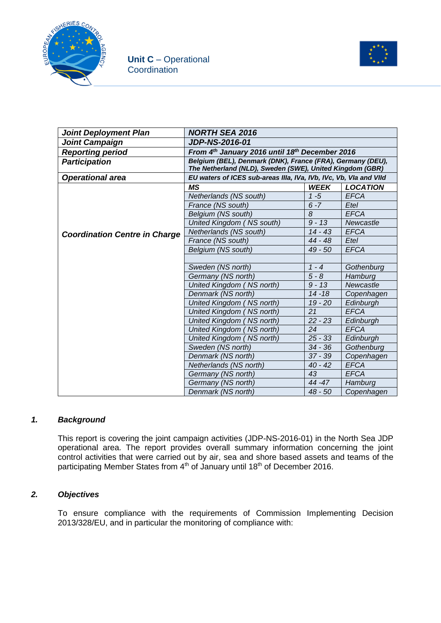



| <b>Joint Deployment Plan</b>         | <b>NORTH SEA 2016</b>                                                                                                  |                     |                 |  |
|--------------------------------------|------------------------------------------------------------------------------------------------------------------------|---------------------|-----------------|--|
| <b>Joint Campaign</b>                | <b>JDP-NS-2016-01</b>                                                                                                  |                     |                 |  |
| <b>Reporting period</b>              | From 4th January 2016 until 18th December 2016                                                                         |                     |                 |  |
| <b>Participation</b>                 | Belgium (BEL), Denmark (DNK), France (FRA), Germany (DEU),<br>The Netherland (NLD), Sweden (SWE), United Kingdom (GBR) |                     |                 |  |
| <b>Operational area</b>              | EU waters of ICES sub-areas IIIa, IVa, IVb, IVc, Vb, VIa and VIId                                                      |                     |                 |  |
|                                      | <b>MS</b>                                                                                                              | <b>WEEK</b>         | <b>LOCATION</b> |  |
|                                      | Netherlands (NS south)                                                                                                 | $1 - 5$             | <b>EFCA</b>     |  |
|                                      | France (NS south)                                                                                                      | $6 - 7$             | Etel            |  |
|                                      | Belgium (NS south)                                                                                                     | 8                   | <b>EFCA</b>     |  |
|                                      | United Kingdom (NS south)                                                                                              | $9 - 13$            | Newcastle       |  |
| <b>Coordination Centre in Charge</b> | Netherlands (NS south)                                                                                                 | $14 - 43$           | <b>EFCA</b>     |  |
|                                      | France (NS south)                                                                                                      | 44 - 48             | Etel            |  |
|                                      | Belgium (NS south)                                                                                                     | 49 - 50             | <b>EFCA</b>     |  |
|                                      |                                                                                                                        |                     |                 |  |
|                                      | Sweden (NS north)                                                                                                      | $1 - 4$             | Gothenburg      |  |
|                                      | Germany (NS north)                                                                                                     | $5 - 8$             | Hamburg         |  |
|                                      | United Kingdom (NS north)                                                                                              | $\overline{9}$ - 13 | Newcastle       |  |
|                                      | Denmark (NS north)                                                                                                     | $14 - 18$           | Copenhagen      |  |
|                                      | $19 - 20$<br>United Kingdom (NS north)                                                                                 |                     | Edinburgh       |  |
|                                      | United Kingdom (NS north)                                                                                              | 21                  | <b>EFCA</b>     |  |
|                                      | United Kingdom (NS north)                                                                                              | $22 - 23$           | Edinburgh       |  |
|                                      | United Kingdom (NS north)                                                                                              | 24                  | <b>EFCA</b>     |  |
|                                      | United Kingdom (NS north)                                                                                              | $25 - 33$           | Edinburgh       |  |
|                                      | Sweden (NS north)                                                                                                      | 34 - 36             | Gothenburg      |  |
|                                      | Denmark (NS north)                                                                                                     | $37 - 39$           | Copenhagen      |  |
|                                      | Netherlands (NS north)                                                                                                 | $40 - 42$           | <b>EFCA</b>     |  |
|                                      | Germany (NS north)                                                                                                     | 43                  | <b>EFCA</b>     |  |
|                                      | Germany (NS north)<br>44 - 47<br>Hamburg                                                                               |                     |                 |  |
|                                      | Denmark (NS north)                                                                                                     | 48 - 50             | Copenhagen      |  |

#### *1. Background*

This report is covering the joint campaign activities (JDP-NS-2016-01) in the North Sea JDP operational area. The report provides overall summary information concerning the joint control activities that were carried out by air, sea and shore based assets and teams of the participating Member States from 4<sup>th</sup> of January until 18<sup>th</sup> of December 2016.

### *2. Objectives*

To ensure compliance with the requirements of Commission Implementing Decision 2013/328/EU, and in particular the monitoring of compliance with: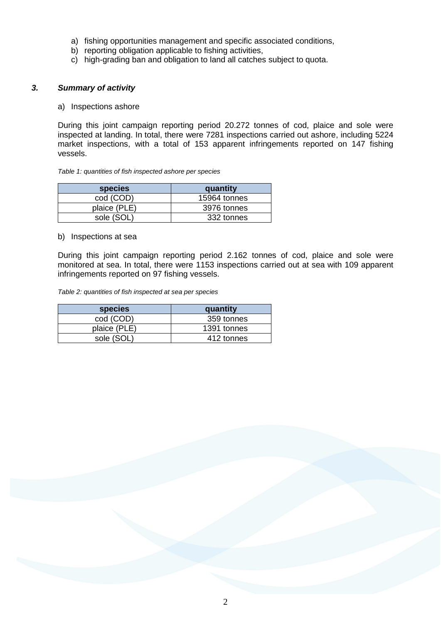- a) fishing opportunities management and specific associated conditions,
- b) reporting obligation applicable to fishing activities,
- c) high-grading ban and obligation to land all catches subject to quota.

#### *3. Summary of activity*

a) Inspections ashore

During this joint campaign reporting period 20.272 tonnes of cod, plaice and sole were inspected at landing. In total, there were 7281 inspections carried out ashore, including 5224 market inspections, with a total of 153 apparent infringements reported on 147 fishing vessels.

#### *Table 1: quantities of fish inspected ashore per species*

| <b>species</b> | quantity     |
|----------------|--------------|
| cod (COD)      | 15964 tonnes |
| plaice (PLE)   | 3976 tonnes  |
| sole (SOL)     | 332 tonnes   |

#### b) Inspections at sea

During this joint campaign reporting period 2.162 tonnes of cod, plaice and sole were monitored at sea. In total, there were 1153 inspections carried out at sea with 109 apparent infringements reported on 97 fishing vessels.

*Table 2: quantities of fish inspected at sea per species*

| <b>species</b> | quantity    |
|----------------|-------------|
| cod (COD)      | 359 tonnes  |
| plaice (PLE)   | 1391 tonnes |
| sole (SOL)     | 412 tonnes  |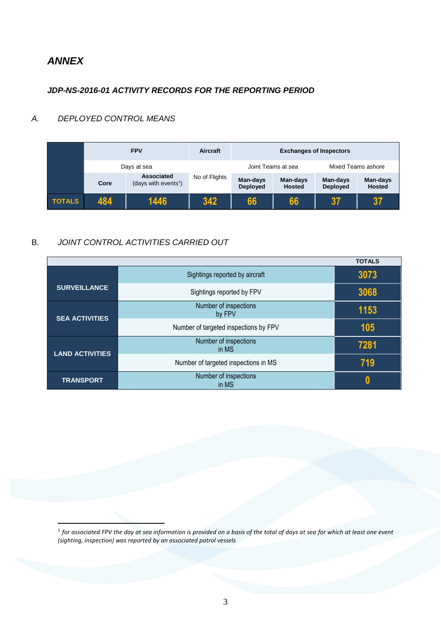# *ANNEX*

1

### *JDP-NS-2016-01 ACTIVITY RECORDS FOR THE REPORTING PERIOD*

## *A. DEPLOYED CONTROL MEANS*

|               |      | <b>FPV</b>                                     | Aircraft      | <b>Exchanges of Inspectors</b> |                           |                             |                           |  |
|---------------|------|------------------------------------------------|---------------|--------------------------------|---------------------------|-----------------------------|---------------------------|--|
|               |      | Days at sea                                    |               | Joint Teams at sea             |                           |                             | Mixed Teams ashore        |  |
|               | Core | Associated<br>(days with events <sup>1</sup> ) | No of Flights | Man-days<br><b>Deployed</b>    | Man-days<br><b>Hosted</b> | Man-days<br><b>Deployed</b> | Man-days<br><b>Hosted</b> |  |
| <b>TOTALS</b> | 484  | 1446                                           | 342           | 66                             | 66                        | 37                          | 37                        |  |

### B. *JOINT CONTROL ACTIVITIES CARRIED OUT*

|                        |                                       | <b>TOTALS</b> |
|------------------------|---------------------------------------|---------------|
|                        | Sightings reported by aircraft        | 3073          |
| <b>SURVEILLANCE</b>    | Sightings reported by FPV             | 3068          |
| <b>SEA ACTIVITIES</b>  | Number of inspections<br>by FPV       | 1153          |
|                        | Number of targeted inspections by FPV | 105           |
| <b>LAND ACTIVITIES</b> | Number of inspections<br>in MS        | 7281          |
|                        | Number of targeted inspections in MS  | 719           |
| <b>TRANSPORT</b>       | Number of inspections<br>in MS        | N             |

 $^{\rm 1}$  for associated FPV the day at sea information is provided on a basis of the total of days at sea for which at least one event *(sighting, inspection) was reported by an associated patrol vessels*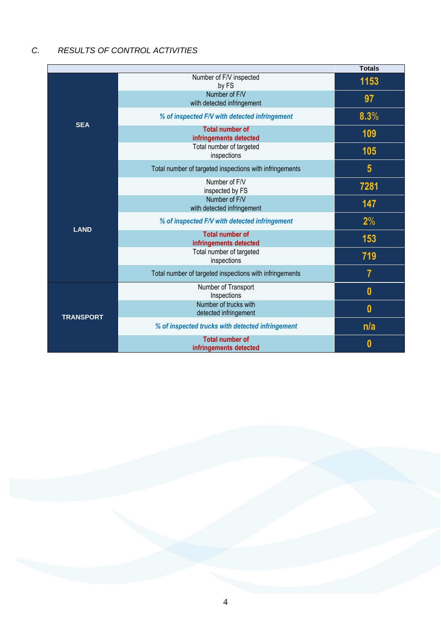# *C. RESULTS OF CONTROL ACTIVITIES*

|                  |                                                         | <b>Totals</b>  |
|------------------|---------------------------------------------------------|----------------|
|                  | Number of F/V inspected<br>by FS                        | 1153           |
|                  | Number of F/V<br>with detected infringement             | 97             |
| <b>SEA</b>       | % of inspected F/V with detected infringement           | 8.3%           |
|                  | <b>Total number of</b><br>infringements detected        | 109            |
|                  | Total number of targeted<br>inspections                 | 105            |
|                  | Total number of targeted inspections with infringements | $5\phantom{1}$ |
|                  | Number of F/V<br>inspected by FS                        | 7281           |
|                  | Number of F/V<br>with detected infringement             | 147            |
| <b>LAND</b>      | % of inspected F/V with detected infringement           | 2%             |
|                  | <b>Total number of</b><br>infringements detected        | 153            |
|                  | Total number of targeted<br>inspections                 | 719            |
|                  | Total number of targeted inspections with infringements | 7              |
|                  | Number of Transport<br>Inspections                      | $\bf{0}$       |
| <b>TRANSPORT</b> | Number of trucks with<br>detected infringement          | $\bf{0}$       |
|                  | % of inspected trucks with detected infringement        | n/a            |
|                  | <b>Total number of</b><br>infringements detected        | 0              |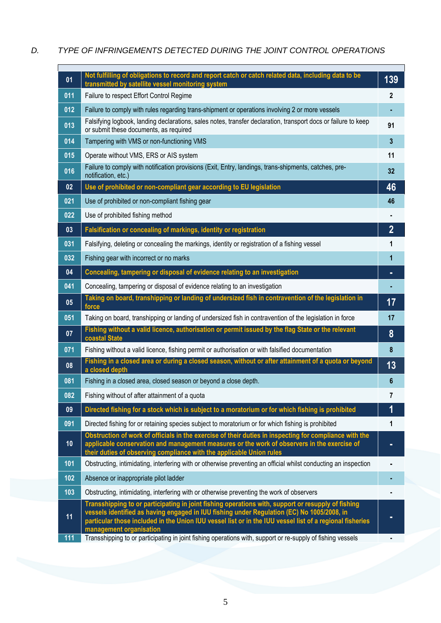## *D. TYPE OF INFRINGEMENTS DETECTED DURING THE JOINT CONTROL OPERATIONS*

| 01  | Not fulfilling of obligations to record and report catch or catch related data, including data to be<br>transmitted by satellite vessel monitoring system                                                                                                                                                                               | 139              |
|-----|-----------------------------------------------------------------------------------------------------------------------------------------------------------------------------------------------------------------------------------------------------------------------------------------------------------------------------------------|------------------|
| 011 | Failure to respect Effort Control Regime                                                                                                                                                                                                                                                                                                | 2                |
| 012 | Failure to comply with rules regarding trans-shipment or operations involving 2 or more vessels                                                                                                                                                                                                                                         |                  |
| 013 | Falsifying logbook, landing declarations, sales notes, transfer declaration, transport docs or failure to keep<br>or submit these documents, as required                                                                                                                                                                                | 91               |
| 014 | Tampering with VMS or non-functioning VMS                                                                                                                                                                                                                                                                                               | $\mathbf{3}$     |
| 015 | Operate without VMS, ERS or AIS system                                                                                                                                                                                                                                                                                                  | 11               |
| 016 | Failure to comply with notification provisions (Exit, Entry, landings, trans-shipments, catches, pre-<br>notification, etc.)                                                                                                                                                                                                            | 32               |
| 02  | Use of prohibited or non-compliant gear according to EU legislation                                                                                                                                                                                                                                                                     | 46               |
| 021 | Use of prohibited or non-compliant fishing gear                                                                                                                                                                                                                                                                                         | 46               |
| 022 | Use of prohibited fishing method                                                                                                                                                                                                                                                                                                        |                  |
| 03  | Falsification or concealing of markings, identity or registration                                                                                                                                                                                                                                                                       | $\overline{2}$   |
| 031 | Falsifying, deleting or concealing the markings, identity or registration of a fishing vessel                                                                                                                                                                                                                                           | 1                |
| 032 | Fishing gear with incorrect or no marks                                                                                                                                                                                                                                                                                                 | 1                |
| 04  | Concealing, tampering or disposal of evidence relating to an investigation                                                                                                                                                                                                                                                              | ٠                |
| 041 | Concealing, tampering or disposal of evidence relating to an investigation                                                                                                                                                                                                                                                              |                  |
| 05  | Taking on board, transhipping or landing of undersized fish in contravention of the legislation in<br>force                                                                                                                                                                                                                             | 17               |
| 051 | Taking on board, transhipping or landing of undersized fish in contravention of the legislation in force                                                                                                                                                                                                                                | 17               |
| 07  | Fishing without a valid licence, authorisation or permit issued by the flag State or the relevant<br>coastal State                                                                                                                                                                                                                      | 8                |
| 071 | Fishing without a valid licence, fishing permit or authorisation or with falsified documentation                                                                                                                                                                                                                                        | $\boldsymbol{8}$ |
| 08  | Fishing in a closed area or during a closed season, without or after attainment of a quota or beyond<br>a closed depth                                                                                                                                                                                                                  | 13               |
| 081 | Fishing in a closed area, closed season or beyond a close depth.                                                                                                                                                                                                                                                                        | 6                |
| 082 | Fishing without of after attainment of a quota                                                                                                                                                                                                                                                                                          |                  |
| 09  | Directed fishing for a stock which is subject to a moratorium or for which fishing is prohibited                                                                                                                                                                                                                                        |                  |
| 091 | Directed fishing for or retaining species subject to moratorium or for which fishing is prohibited                                                                                                                                                                                                                                      | 1                |
| 10  | Obstruction of work of officials in the exercise of their duties in inspecting for compliance with the<br>applicable conservation and management measures or the work of observers in the exercise of<br>their duties of observing compliance with the applicable Union rules                                                           |                  |
| 101 | Obstructing, intimidating, interfering with or otherwise preventing an official whilst conducting an inspection                                                                                                                                                                                                                         |                  |
| 102 | Absence or inappropriate pilot ladder                                                                                                                                                                                                                                                                                                   |                  |
| 103 | Obstructing, intimidating, interfering with or otherwise preventing the work of observers                                                                                                                                                                                                                                               |                  |
| 11  | Transshipping to or participating in joint fishing operations with, support or resupply of fishing<br>vessels identified as having engaged in IUU fishing under Regulation (EC) No 1005/2008, in<br>particular those included in the Union IUU vessel list or in the IUU vessel list of a regional fisheries<br>management organisation |                  |
| 111 | Transshipping to or participating in joint fishing operations with, support or re-supply of fishing vessels                                                                                                                                                                                                                             |                  |